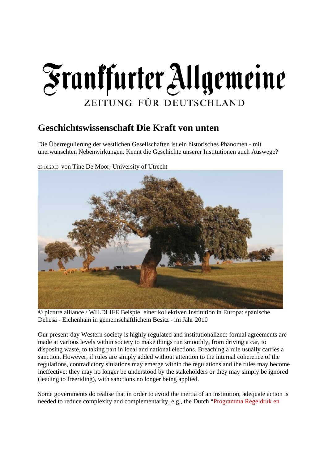# Frankfurter Allgemeine ZEITUNG FÜR DEUTSCHLAND

## **Geschichtswissenschaft Die Kraft von unten**

Die Überregulierung der westlichen Gesellschaften ist ein historisches Phänomen - mit unerwünschten Nebenwirkungen. Kennt die Geschichte unserer Institutionen auch Auswege?





© picture alliance / WILDLIFE Beispiel einer kollektiven Institution in Europa: spanische Dehesa - Eichenhain in gemeinschaftlichem Besitz - im Jahr 2010

Our present-day Western society is highly regulated and institutionalized: formal agreements are made at various levels within society to make things run smoothly, from driving a car, to disposing waste, to taking part in local and national elections. Breaching a rule usually carries a sanction. However, if rules are simply added without attention to the internal coherence of the regulations, contradictory situations may emerge within the regulations and the rules may become ineffective: they may no longer be understood by the stakeholders or they may simply be ignored (leading to freeriding), with sanctions no longer being applied.

Some governments do realise that in order to avoid the inertia of an institution, adequate action is needed to reduce complexity and complementarity, e.g., the Dutch "Programma Regeldruk en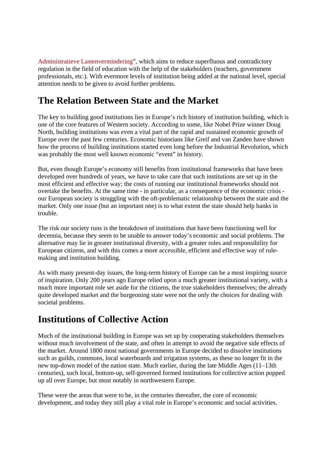Administratieve Lastenvermindering", which aims to reduce superfluous and contradictory regulation in the field of education with the help of the stakeholders (teachers, government professionals, etc.). With evermore levels of institution being added at the national level, special attention needs to be given to avoid further problems.

## **The Relation Between State and the Market**

The key to building good institutions lies in Europe's rich history of institution building, which is one of the core features of Western society. According to some, like Nobel Prize winner Doug North, building institutions was even a vital part of the rapid and sustained economic growth of Europe over the past few centuries. Economic historians like Greif and van Zanden have shown how the process of building institutions started even long before the Industrial Revolution, which was probably the most well known economic "event" in history.

But, even though Europe's economy still benefits from institutional frameworks that have been developed over hundreds of years, we have to take care that such institutions are set up in the most efficient and effective way; the costs of running our institutional frameworks should not overtake the benefits. At the same time - in particular, as a consequence of the economic crisis our European society is struggling with the oft-problematic relationship between the state and the market. Only one issue (but an important one) is to what extent the state should help banks in trouble.

The risk our society runs is the breakdown of institutions that have been functioning well for decennia, because they seem to be unable to answer today's economic and social problems. The alternative may lie in greater institutional diversity, with a greater roles and responsibility for European citizens, and with this comes a more accessible, efficient and effective way of rulemaking and institution building.

As with many present-day issues, the long-term history of Europe can be a most inspiring source of inspiration. Only 200 years ago Europe relied upon a much greater institutional variety, with a much more important role set aside for the citizens, the true stakeholders themselves; the already quite developed market and the burgeoning state were not the only the choices for dealing with societal problems.

### **Institutions of Collective Action**

Much of the institutional building in Europe was set up by cooperating stakeholders themselves without much involvement of the state, and often in attempt to avoid the negative side effects of the market. Around 1800 most national governments in Europe decided to dissolve institutions such as guilds, commons, local waterboards and irrigation systems, as these no longer fit in the new top-down model of the nation state. Much earlier, during the late Middle Ages (11–13th centuries), such local, bottom-up, self-governed formed institutions for collective action popped up all over Europe, but most notably in northwestern Europe.

These were the areas that were to be, in the centuries thereafter, the core of economic development, and today they still play a vital role in Europe's economic and social activities.